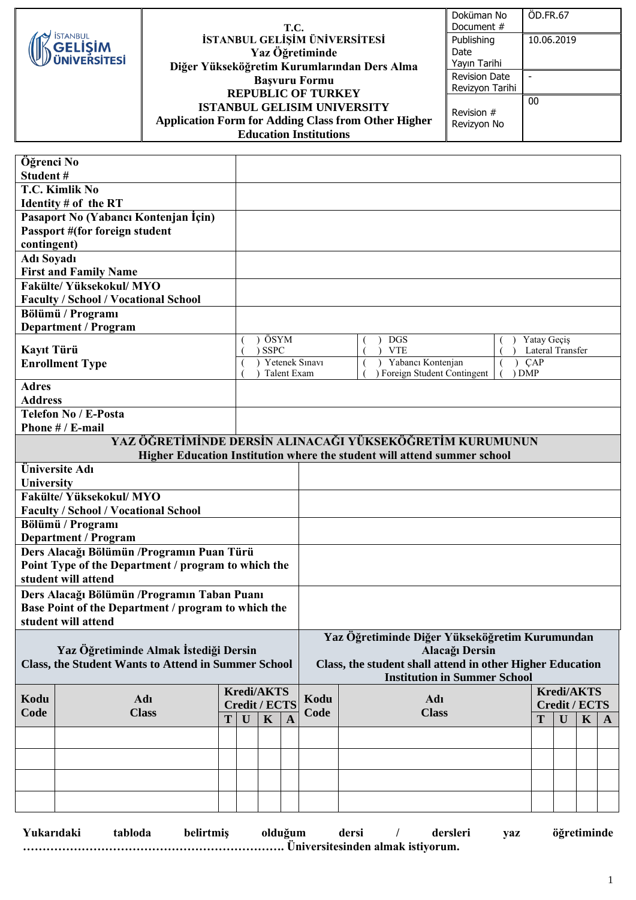|                                                          | <b>T.C.</b>                                                                                      | Doküman No<br>Document #                | <b>ÖD.FR.67</b>          |
|----------------------------------------------------------|--------------------------------------------------------------------------------------------------|-----------------------------------------|--------------------------|
| <b>İSTANBUL</b><br><b>GELISIM</b><br><b>UNIVERSITESI</b> | İSTANBUL GELİŞİM ÜNİVERSİTESİ<br>Yaz Öğretiminde<br>Diğer Yükseköğretim Kurumlarından Ders Alma  | Publishing<br>Date<br>Yayın Tarihi      | 10.06.2019               |
|                                                          | <b>Basvuru Formu</b><br><b>REPUBLIC OF TURKEY</b>                                                | <b>Revision Date</b><br>Revizyon Tarihi | $\overline{\phantom{0}}$ |
|                                                          | <b>ISTANBUL GELISIM UNIVERSITY</b><br><b>Application Form for Adding Class from Other Higher</b> | Revision #<br>Revizyon No               | $00\,$                   |
|                                                          | <b>Education Institutions</b>                                                                    |                                         |                          |

| Öğrenci No                                                                                          |                                             |                                                           |                                                                  |             |              |                |                                                   |  |                                                                          |         |                   |              |              |              |
|-----------------------------------------------------------------------------------------------------|---------------------------------------------|-----------------------------------------------------------|------------------------------------------------------------------|-------------|--------------|----------------|---------------------------------------------------|--|--------------------------------------------------------------------------|---------|-------------------|--------------|--------------|--------------|
| Student#                                                                                            |                                             |                                                           |                                                                  |             |              |                |                                                   |  |                                                                          |         |                   |              |              |              |
|                                                                                                     | T.C. Kimlik No                              |                                                           |                                                                  |             |              |                |                                                   |  |                                                                          |         |                   |              |              |              |
|                                                                                                     | Identity $#$ of the RT                      |                                                           |                                                                  |             |              |                |                                                   |  |                                                                          |         |                   |              |              |              |
|                                                                                                     | Pasaport No (Yabancı Kontenjan İçin)        |                                                           |                                                                  |             |              |                |                                                   |  |                                                                          |         |                   |              |              |              |
|                                                                                                     | Passport #(for foreign student              |                                                           |                                                                  |             |              |                |                                                   |  |                                                                          |         |                   |              |              |              |
| contingent)                                                                                         |                                             |                                                           |                                                                  |             |              |                |                                                   |  |                                                                          |         |                   |              |              |              |
| <b>Adı Soyadı</b>                                                                                   | <b>First and Family Name</b>                |                                                           |                                                                  |             |              |                |                                                   |  |                                                                          |         |                   |              |              |              |
|                                                                                                     | <b>Fakülte/Yüksekokul/MYO</b>               |                                                           |                                                                  |             |              |                |                                                   |  |                                                                          |         |                   |              |              |              |
|                                                                                                     | <b>Faculty / School / Vocational School</b> |                                                           |                                                                  |             |              |                |                                                   |  |                                                                          |         |                   |              |              |              |
|                                                                                                     | Bölümü / Programı                           |                                                           |                                                                  |             |              |                |                                                   |  |                                                                          |         |                   |              |              |              |
|                                                                                                     | <b>Department / Program</b>                 |                                                           |                                                                  |             |              |                |                                                   |  |                                                                          |         |                   |              |              |              |
|                                                                                                     |                                             |                                                           |                                                                  | ÖSYM        |              |                |                                                   |  | <b>DGS</b>                                                               |         | Yatay Geçiş       |              |              |              |
| Kayıt Türü                                                                                          |                                             |                                                           |                                                                  | <b>SSPC</b> |              |                |                                                   |  | <b>VTE</b>                                                               |         | Lateral Transfer  |              |              |              |
|                                                                                                     | <b>Enrollment Type</b>                      |                                                           |                                                                  |             | Talent Exam  | Yetenek Sınavı | Yabancı Kontenjan<br>) Foreign Student Contingent |  |                                                                          |         | <b>CAP</b>        |              |              |              |
| <b>Adres</b>                                                                                        |                                             |                                                           |                                                                  |             |              |                |                                                   |  |                                                                          | $)$ DMP |                   |              |              |              |
| <b>Address</b>                                                                                      |                                             |                                                           |                                                                  |             |              |                |                                                   |  |                                                                          |         |                   |              |              |              |
|                                                                                                     | <b>Telefon No / E-Posta</b>                 |                                                           |                                                                  |             |              |                |                                                   |  |                                                                          |         |                   |              |              |              |
|                                                                                                     | Phone # / E-mail                            |                                                           |                                                                  |             |              |                |                                                   |  |                                                                          |         |                   |              |              |              |
|                                                                                                     |                                             |                                                           |                                                                  |             |              |                |                                                   |  | <u>YAZ ÖĞRETİMİNDE DERSİN ALINACAĞI YÜKSEKÖĞRETİM KURUMUNUN</u>          |         |                   |              |              |              |
|                                                                                                     |                                             |                                                           |                                                                  |             |              |                |                                                   |  | Higher Education Institution where the student will attend summer school |         |                   |              |              |              |
|                                                                                                     | Üniversite Adı                              |                                                           |                                                                  |             |              |                |                                                   |  |                                                                          |         |                   |              |              |              |
| University                                                                                          |                                             |                                                           |                                                                  |             |              |                |                                                   |  |                                                                          |         |                   |              |              |              |
| <b>Fakülte/ Yüksekokul/ MYO</b>                                                                     |                                             |                                                           |                                                                  |             |              |                |                                                   |  |                                                                          |         |                   |              |              |              |
| <b>Faculty / School / Vocational School</b>                                                         |                                             |                                                           |                                                                  |             |              |                |                                                   |  |                                                                          |         |                   |              |              |              |
| Bölümü / Programı                                                                                   |                                             |                                                           |                                                                  |             |              |                |                                                   |  |                                                                          |         |                   |              |              |              |
| <b>Department / Program</b>                                                                         |                                             |                                                           |                                                                  |             |              |                |                                                   |  |                                                                          |         |                   |              |              |              |
| Ders Alacağı Bölümün / Programın Puan Türü<br>Point Type of the Department / program to which the   |                                             |                                                           |                                                                  |             |              |                |                                                   |  |                                                                          |         |                   |              |              |              |
| student will attend                                                                                 |                                             |                                                           |                                                                  |             |              |                |                                                   |  |                                                                          |         |                   |              |              |              |
|                                                                                                     |                                             |                                                           |                                                                  |             |              |                |                                                   |  |                                                                          |         |                   |              |              |              |
| Ders Alacağı Bölümün / Programın Taban Puanı<br>Base Point of the Department / program to which the |                                             |                                                           |                                                                  |             |              |                |                                                   |  |                                                                          |         |                   |              |              |              |
|                                                                                                     | student will attend                         |                                                           |                                                                  |             |              |                |                                                   |  |                                                                          |         |                   |              |              |              |
|                                                                                                     |                                             |                                                           |                                                                  |             |              |                |                                                   |  |                                                                          |         |                   |              |              |              |
| Yaz Öğretiminde Almak İstediği Dersin                                                               |                                             |                                                           | Yaz Öğretiminde Diğer Yükseköğretim Kurumundan<br>Alacağı Dersin |             |              |                |                                                   |  |                                                                          |         |                   |              |              |              |
| <b>Class, the Student Wants to Attend in Summer School</b>                                          |                                             | Class, the student shall attend in other Higher Education |                                                                  |             |              |                |                                                   |  |                                                                          |         |                   |              |              |              |
|                                                                                                     |                                             |                                                           |                                                                  |             |              |                |                                                   |  | <b>Institution in Summer School</b>                                      |         |                   |              |              |              |
|                                                                                                     |                                             |                                                           | <b>Kredi/AKTS</b>                                                |             |              |                |                                                   |  |                                                                          |         | <b>Kredi/AKTS</b> |              |              |              |
| Kodu                                                                                                | Adı                                         | <b>Credit / ECTS</b>                                      |                                                                  |             | Kodu         |                | Adı                                               |  |                                                                          |         | Credit / ECTS     |              |              |              |
| Code                                                                                                | <b>Class</b>                                | T <sup>-</sup>                                            | $\mathbf{U}$                                                     | $\mathbf K$ | $\mathbf{A}$ | Code           |                                                   |  | <b>Class</b>                                                             |         | T                 | $\mathbf{U}$ | $\mathbf{K}$ | $\mathbf{A}$ |
|                                                                                                     |                                             |                                                           |                                                                  |             |              |                |                                                   |  |                                                                          |         |                   |              |              |              |
|                                                                                                     |                                             |                                                           |                                                                  |             |              |                |                                                   |  |                                                                          |         |                   |              |              |              |
|                                                                                                     |                                             |                                                           |                                                                  |             |              |                |                                                   |  |                                                                          |         |                   |              |              |              |
|                                                                                                     |                                             |                                                           |                                                                  |             |              |                |                                                   |  |                                                                          |         |                   |              |              |              |
|                                                                                                     |                                             |                                                           |                                                                  |             |              |                |                                                   |  |                                                                          |         |                   |              |              |              |
|                                                                                                     |                                             |                                                           |                                                                  |             |              |                |                                                   |  |                                                                          |         |                   |              |              |              |

| Yukarıdaki | tabloda | belirtmis | olduğum | dersi | dersleri | <b>vaz</b> | öğretiminde |
|------------|---------|-----------|---------|-------|----------|------------|-------------|
|            |         |           |         |       |          |            |             |